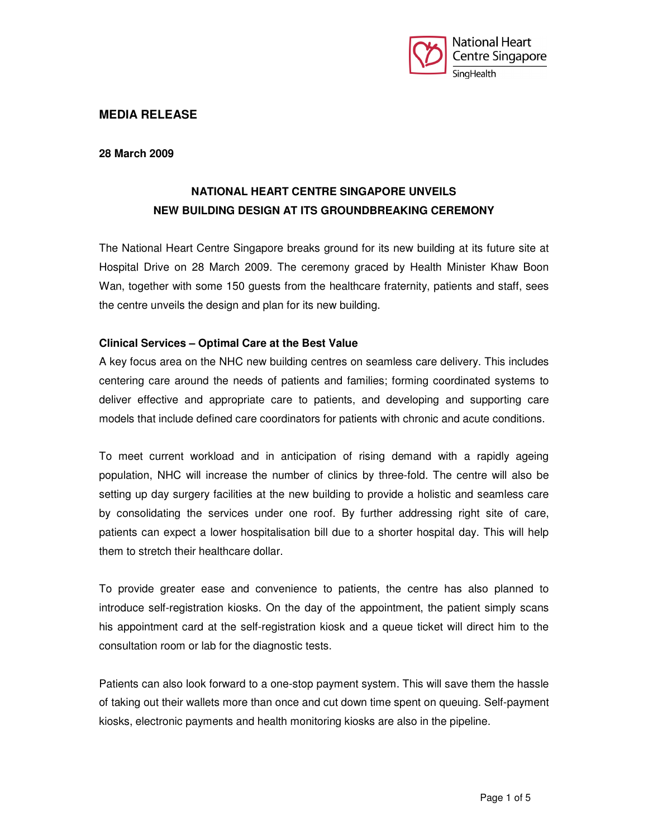

## **MEDIA RELEASE**

#### **28 March 2009**

# **NATIONAL HEART CENTRE SINGAPORE UNVEILS NEW BUILDING DESIGN AT ITS GROUNDBREAKING CEREMONY**

The National Heart Centre Singapore breaks ground for its new building at its future site at Hospital Drive on 28 March 2009. The ceremony graced by Health Minister Khaw Boon Wan, together with some 150 guests from the healthcare fraternity, patients and staff, sees the centre unveils the design and plan for its new building.

## **Clinical Services – Optimal Care at the Best Value**

A key focus area on the NHC new building centres on seamless care delivery. This includes centering care around the needs of patients and families; forming coordinated systems to deliver effective and appropriate care to patients, and developing and supporting care models that include defined care coordinators for patients with chronic and acute conditions.

To meet current workload and in anticipation of rising demand with a rapidly ageing population, NHC will increase the number of clinics by three-fold. The centre will also be setting up day surgery facilities at the new building to provide a holistic and seamless care by consolidating the services under one roof. By further addressing right site of care, patients can expect a lower hospitalisation bill due to a shorter hospital day. This will help them to stretch their healthcare dollar.

To provide greater ease and convenience to patients, the centre has also planned to introduce self-registration kiosks. On the day of the appointment, the patient simply scans his appointment card at the self-registration kiosk and a queue ticket will direct him to the consultation room or lab for the diagnostic tests.

Patients can also look forward to a one-stop payment system. This will save them the hassle of taking out their wallets more than once and cut down time spent on queuing. Self-payment kiosks, electronic payments and health monitoring kiosks are also in the pipeline.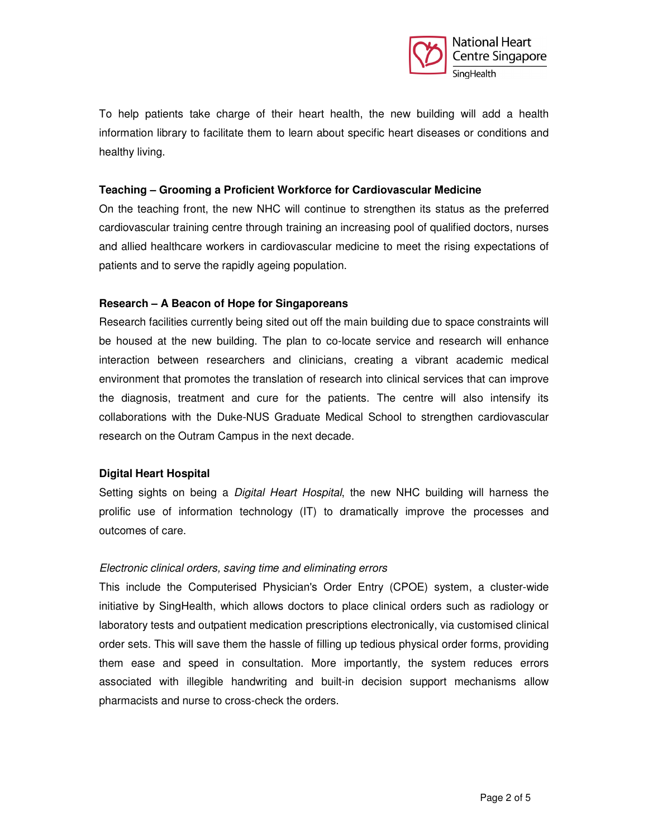

To help patients take charge of their heart health, the new building will add a health information library to facilitate them to learn about specific heart diseases or conditions and healthy living.

#### **Teaching – Grooming a Proficient Workforce for Cardiovascular Medicine**

On the teaching front, the new NHC will continue to strengthen its status as the preferred cardiovascular training centre through training an increasing pool of qualified doctors, nurses and allied healthcare workers in cardiovascular medicine to meet the rising expectations of patients and to serve the rapidly ageing population.

## **Research – A Beacon of Hope for Singaporeans**

Research facilities currently being sited out off the main building due to space constraints will be housed at the new building. The plan to co-locate service and research will enhance interaction between researchers and clinicians, creating a vibrant academic medical environment that promotes the translation of research into clinical services that can improve the diagnosis, treatment and cure for the patients. The centre will also intensify its collaborations with the Duke-NUS Graduate Medical School to strengthen cardiovascular research on the Outram Campus in the next decade.

## **Digital Heart Hospital**

Setting sights on being a *Digital Heart Hospital*, the new NHC building will harness the prolific use of information technology (IT) to dramatically improve the processes and outcomes of care.

## Electronic clinical orders, saving time and eliminating errors

This include the Computerised Physician's Order Entry (CPOE) system, a cluster-wide initiative by SingHealth, which allows doctors to place clinical orders such as radiology or laboratory tests and outpatient medication prescriptions electronically, via customised clinical order sets. This will save them the hassle of filling up tedious physical order forms, providing them ease and speed in consultation. More importantly, the system reduces errors associated with illegible handwriting and built-in decision support mechanisms allow pharmacists and nurse to cross-check the orders.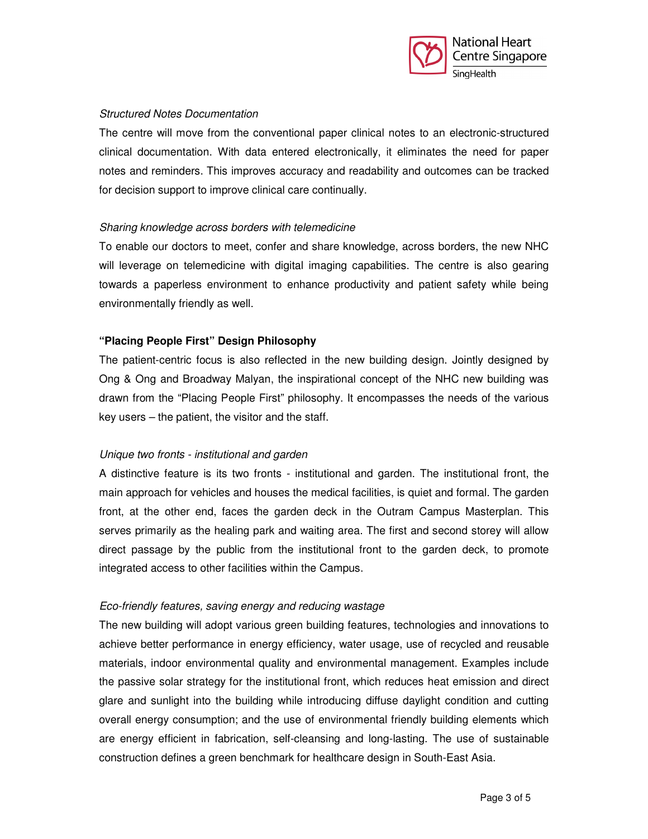

## Structured Notes Documentation

The centre will move from the conventional paper clinical notes to an electronic-structured clinical documentation. With data entered electronically, it eliminates the need for paper notes and reminders. This improves accuracy and readability and outcomes can be tracked for decision support to improve clinical care continually.

## Sharing knowledge across borders with telemedicine

To enable our doctors to meet, confer and share knowledge, across borders, the new NHC will leverage on telemedicine with digital imaging capabilities. The centre is also gearing towards a paperless environment to enhance productivity and patient safety while being environmentally friendly as well.

# **"Placing People First" Design Philosophy**

The patient-centric focus is also reflected in the new building design. Jointly designed by Ong & Ong and Broadway Malyan, the inspirational concept of the NHC new building was drawn from the "Placing People First" philosophy. It encompasses the needs of the various key users – the patient, the visitor and the staff.

## Unique two fronts - institutional and garden

A distinctive feature is its two fronts - institutional and garden. The institutional front, the main approach for vehicles and houses the medical facilities, is quiet and formal. The garden front, at the other end, faces the garden deck in the Outram Campus Masterplan. This serves primarily as the healing park and waiting area. The first and second storey will allow direct passage by the public from the institutional front to the garden deck, to promote integrated access to other facilities within the Campus.

## Eco-friendly features, saving energy and reducing wastage

The new building will adopt various green building features, technologies and innovations to achieve better performance in energy efficiency, water usage, use of recycled and reusable materials, indoor environmental quality and environmental management. Examples include the passive solar strategy for the institutional front, which reduces heat emission and direct glare and sunlight into the building while introducing diffuse daylight condition and cutting overall energy consumption; and the use of environmental friendly building elements which are energy efficient in fabrication, self-cleansing and long-lasting. The use of sustainable construction defines a green benchmark for healthcare design in South-East Asia.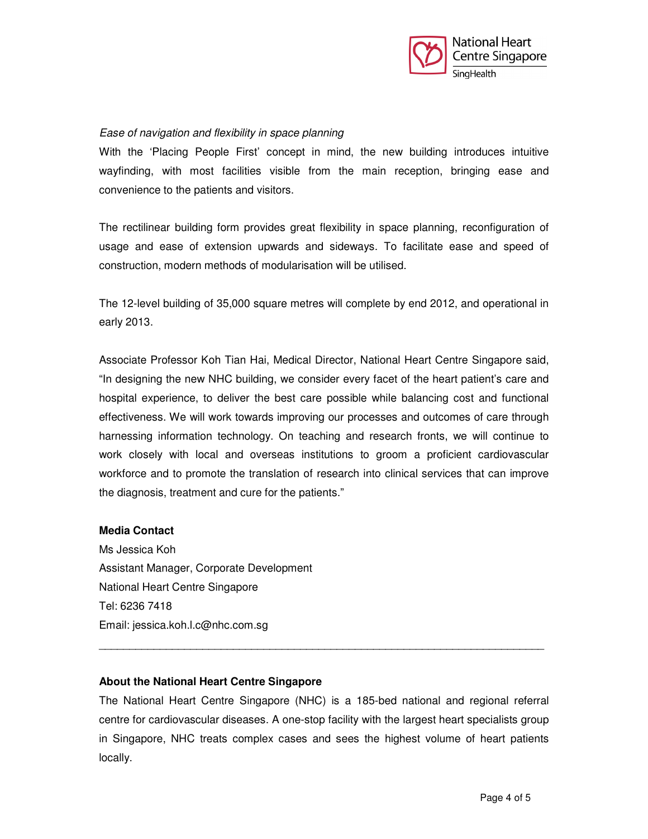

## Ease of navigation and flexibility in space planning

With the 'Placing People First' concept in mind, the new building introduces intuitive wayfinding, with most facilities visible from the main reception, bringing ease and convenience to the patients and visitors.

The rectilinear building form provides great flexibility in space planning, reconfiguration of usage and ease of extension upwards and sideways. To facilitate ease and speed of construction, modern methods of modularisation will be utilised.

The 12-level building of 35,000 square metres will complete by end 2012, and operational in early 2013.

Associate Professor Koh Tian Hai, Medical Director, National Heart Centre Singapore said, "In designing the new NHC building, we consider every facet of the heart patient's care and hospital experience, to deliver the best care possible while balancing cost and functional effectiveness. We will work towards improving our processes and outcomes of care through harnessing information technology. On teaching and research fronts, we will continue to work closely with local and overseas institutions to groom a proficient cardiovascular workforce and to promote the translation of research into clinical services that can improve the diagnosis, treatment and cure for the patients."

## **Media Contact**

Ms Jessica Koh Assistant Manager, Corporate Development National Heart Centre Singapore Tel: 6236 7418 Email: jessica.koh.l.c@nhc.com.sg

## **About the National Heart Centre Singapore**

The National Heart Centre Singapore (NHC) is a 185-bed national and regional referral centre for cardiovascular diseases. A one-stop facility with the largest heart specialists group in Singapore, NHC treats complex cases and sees the highest volume of heart patients locally.

\_\_\_\_\_\_\_\_\_\_\_\_\_\_\_\_\_\_\_\_\_\_\_\_\_\_\_\_\_\_\_\_\_\_\_\_\_\_\_\_\_\_\_\_\_\_\_\_\_\_\_\_\_\_\_\_\_\_\_\_\_\_\_\_\_\_\_\_\_\_\_\_\_